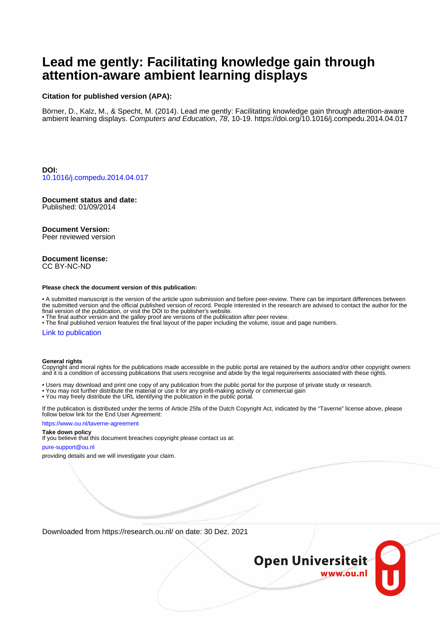# **Lead me gently: Facilitating knowledge gain through attention-aware ambient learning displays**

#### **Citation for published version (APA):**

Börner, D., Kalz, M., & Specht, M. (2014). Lead me gently: Facilitating knowledge gain through attention-aware ambient learning displays. Computers and Education, 78, 10-19.<https://doi.org/10.1016/j.compedu.2014.04.017>

**DOI:** [10.1016/j.compedu.2014.04.017](https://doi.org/10.1016/j.compedu.2014.04.017)

## **Document status and date:**

Published: 01/09/2014

#### **Document Version:**

Peer reviewed version

#### **Document license:** CC BY-NC-ND

#### **Please check the document version of this publication:**

• A submitted manuscript is the version of the article upon submission and before peer-review. There can be important differences between the submitted version and the official published version of record. People interested in the research are advised to contact the author for the final version of the publication, or visit the DOI to the publisher's website.

• The final author version and the galley proof are versions of the publication after peer review.

• The final published version features the final layout of the paper including the volume, issue and page numbers.

#### [Link to publication](https://research.ou.nl/en/publications/61aa676c-b903-4a76-a4be-852d7497c389)

#### **General rights**

Copyright and moral rights for the publications made accessible in the public portal are retained by the authors and/or other copyright owners and it is a condition of accessing publications that users recognise and abide by the legal requirements associated with these rights.

- Users may download and print one copy of any publication from the public portal for the purpose of private study or research.
- You may not further distribute the material or use it for any profit-making activity or commercial gain
- You may freely distribute the URL identifying the publication in the public portal.

If the publication is distributed under the terms of Article 25fa of the Dutch Copyright Act, indicated by the "Taverne" license above, please follow below link for the End User Agreement:

#### https://www.ou.nl/taverne-agreement

## **Take down policy**

If you believe that this document breaches copyright please contact us at:

#### pure-support@ou.nl

providing details and we will investigate your claim.

Downloaded from https://research.ou.nl/ on date: 30 Dez. 2021

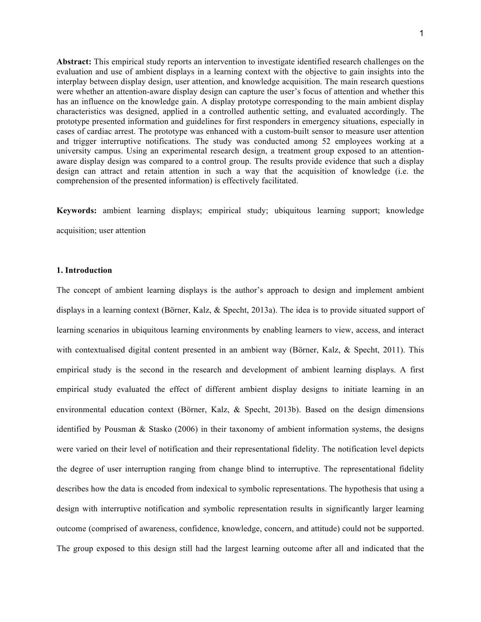**Abstract:** This empirical study reports an intervention to investigate identified research challenges on the evaluation and use of ambient displays in a learning context with the objective to gain insights into the interplay between display design, user attention, and knowledge acquisition. The main research questions were whether an attention-aware display design can capture the user's focus of attention and whether this has an influence on the knowledge gain. A display prototype corresponding to the main ambient display characteristics was designed, applied in a controlled authentic setting, and evaluated accordingly. The prototype presented information and guidelines for first responders in emergency situations, especially in cases of cardiac arrest. The prototype was enhanced with a custom-built sensor to measure user attention and trigger interruptive notifications. The study was conducted among 52 employees working at a university campus. Using an experimental research design, a treatment group exposed to an attentionaware display design was compared to a control group. The results provide evidence that such a display design can attract and retain attention in such a way that the acquisition of knowledge (i.e. the comprehension of the presented information) is effectively facilitated.

**Keywords:** ambient learning displays; empirical study; ubiquitous learning support; knowledge acquisition; user attention

#### **1. Introduction**

The concept of ambient learning displays is the author's approach to design and implement ambient displays in a learning context (Börner, Kalz, & Specht, 2013a). The idea is to provide situated support of learning scenarios in ubiquitous learning environments by enabling learners to view, access, and interact with contextualised digital content presented in an ambient way (Börner, Kalz, & Specht, 2011). This empirical study is the second in the research and development of ambient learning displays. A first empirical study evaluated the effect of different ambient display designs to initiate learning in an environmental education context (Börner, Kalz, & Specht, 2013b). Based on the design dimensions identified by Pousman & Stasko (2006) in their taxonomy of ambient information systems, the designs were varied on their level of notification and their representational fidelity. The notification level depicts the degree of user interruption ranging from change blind to interruptive. The representational fidelity describes how the data is encoded from indexical to symbolic representations. The hypothesis that using a design with interruptive notification and symbolic representation results in significantly larger learning outcome (comprised of awareness, confidence, knowledge, concern, and attitude) could not be supported. The group exposed to this design still had the largest learning outcome after all and indicated that the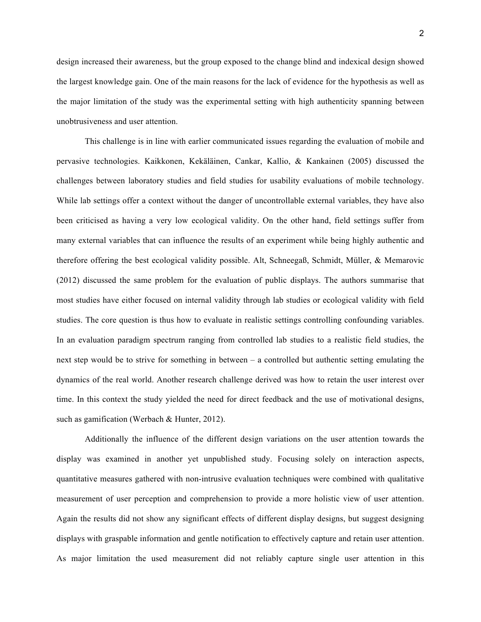design increased their awareness, but the group exposed to the change blind and indexical design showed the largest knowledge gain. One of the main reasons for the lack of evidence for the hypothesis as well as the major limitation of the study was the experimental setting with high authenticity spanning between unobtrusiveness and user attention.

This challenge is in line with earlier communicated issues regarding the evaluation of mobile and pervasive technologies. Kaikkonen, Kekäläinen, Cankar, Kallio, & Kankainen (2005) discussed the challenges between laboratory studies and field studies for usability evaluations of mobile technology. While lab settings offer a context without the danger of uncontrollable external variables, they have also been criticised as having a very low ecological validity. On the other hand, field settings suffer from many external variables that can influence the results of an experiment while being highly authentic and therefore offering the best ecological validity possible. Alt, Schneegaß, Schmidt, Müller, & Memarovic (2012) discussed the same problem for the evaluation of public displays. The authors summarise that most studies have either focused on internal validity through lab studies or ecological validity with field studies. The core question is thus how to evaluate in realistic settings controlling confounding variables. In an evaluation paradigm spectrum ranging from controlled lab studies to a realistic field studies, the next step would be to strive for something in between – a controlled but authentic setting emulating the dynamics of the real world. Another research challenge derived was how to retain the user interest over time. In this context the study yielded the need for direct feedback and the use of motivational designs, such as gamification (Werbach & Hunter, 2012).

Additionally the influence of the different design variations on the user attention towards the display was examined in another yet unpublished study. Focusing solely on interaction aspects, quantitative measures gathered with non-intrusive evaluation techniques were combined with qualitative measurement of user perception and comprehension to provide a more holistic view of user attention. Again the results did not show any significant effects of different display designs, but suggest designing displays with graspable information and gentle notification to effectively capture and retain user attention. As major limitation the used measurement did not reliably capture single user attention in this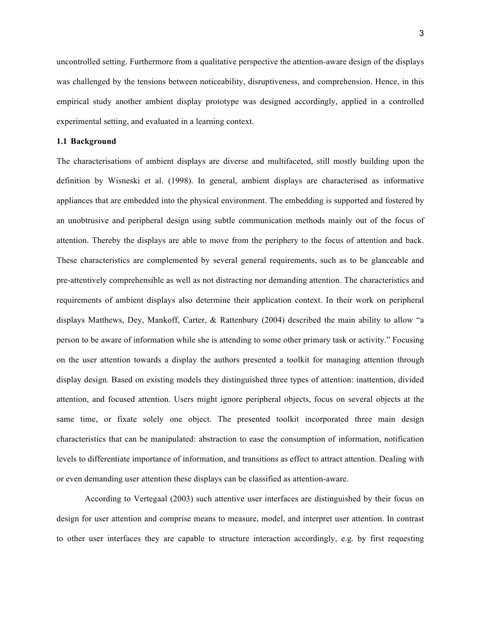uncontrolled setting. Furthermore from a qualitative perspective the attention-aware design of the displays was challenged by the tensions between noticeability, disruptiveness, and comprehension. Hence, in this empirical study another ambient display prototype was designed accordingly, applied in a controlled experimental setting, and evaluated in a learning context.

#### **1.1 Background**

The characterisations of ambient displays are diverse and multifaceted, still mostly building upon the definition by Wisneski et al. (1998). In general, ambient displays are characterised as informative appliances that are embedded into the physical environment. The embedding is supported and fostered by an unobtrusive and peripheral design using subtle communication methods mainly out of the focus of attention. Thereby the displays are able to move from the periphery to the focus of attention and back. These characteristics are complemented by several general requirements, such as to be glanceable and pre-attentively comprehensible as well as not distracting nor demanding attention. The characteristics and requirements of ambient displays also determine their application context. In their work on peripheral displays Matthews, Dey, Mankoff, Carter, & Rattenbury (2004) described the main ability to allow "a person to be aware of information while she is attending to some other primary task or activity." Focusing on the user attention towards a display the authors presented a toolkit for managing attention through display design. Based on existing models they distinguished three types of attention: inattention, divided attention, and focused attention. Users might ignore peripheral objects, focus on several objects at the same time, or fixate solely one object. The presented toolkit incorporated three main design characteristics that can be manipulated: abstraction to ease the consumption of information, notification levels to differentiate importance of information, and transitions as effect to attract attention. Dealing with or even demanding user attention these displays can be classified as attention-aware.

According to Vertegaal (2003) such attentive user interfaces are distinguished by their focus on design for user attention and comprise means to measure, model, and interpret user attention. In contrast to other user interfaces they are capable to structure interaction accordingly, e.g. by first requesting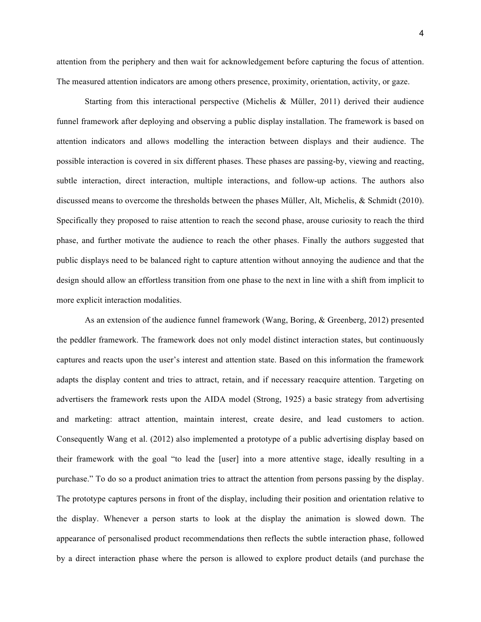attention from the periphery and then wait for acknowledgement before capturing the focus of attention. The measured attention indicators are among others presence, proximity, orientation, activity, or gaze.

Starting from this interactional perspective (Michelis & Müller, 2011) derived their audience funnel framework after deploying and observing a public display installation. The framework is based on attention indicators and allows modelling the interaction between displays and their audience. The possible interaction is covered in six different phases. These phases are passing-by, viewing and reacting, subtle interaction, direct interaction, multiple interactions, and follow-up actions. The authors also discussed means to overcome the thresholds between the phases Müller, Alt, Michelis, & Schmidt (2010). Specifically they proposed to raise attention to reach the second phase, arouse curiosity to reach the third phase, and further motivate the audience to reach the other phases. Finally the authors suggested that public displays need to be balanced right to capture attention without annoying the audience and that the design should allow an effortless transition from one phase to the next in line with a shift from implicit to more explicit interaction modalities.

As an extension of the audience funnel framework (Wang, Boring, & Greenberg, 2012) presented the peddler framework. The framework does not only model distinct interaction states, but continuously captures and reacts upon the user's interest and attention state. Based on this information the framework adapts the display content and tries to attract, retain, and if necessary reacquire attention. Targeting on advertisers the framework rests upon the AIDA model (Strong, 1925) a basic strategy from advertising and marketing: attract attention, maintain interest, create desire, and lead customers to action. Consequently Wang et al. (2012) also implemented a prototype of a public advertising display based on their framework with the goal "to lead the [user] into a more attentive stage, ideally resulting in a purchase." To do so a product animation tries to attract the attention from persons passing by the display. The prototype captures persons in front of the display, including their position and orientation relative to the display. Whenever a person starts to look at the display the animation is slowed down. The appearance of personalised product recommendations then reflects the subtle interaction phase, followed by a direct interaction phase where the person is allowed to explore product details (and purchase the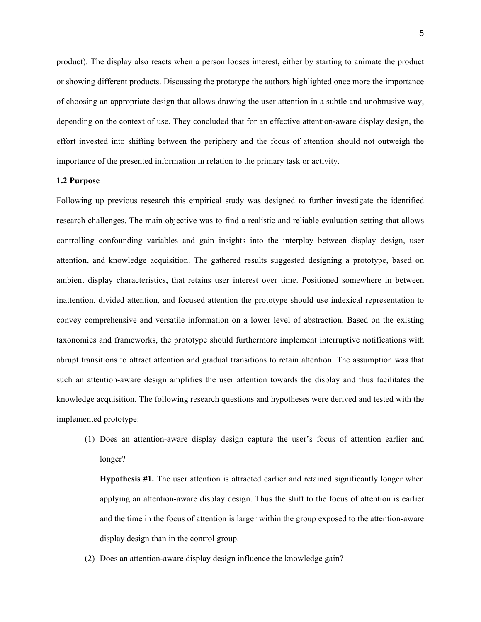product). The display also reacts when a person looses interest, either by starting to animate the product or showing different products. Discussing the prototype the authors highlighted once more the importance of choosing an appropriate design that allows drawing the user attention in a subtle and unobtrusive way, depending on the context of use. They concluded that for an effective attention-aware display design, the effort invested into shifting between the periphery and the focus of attention should not outweigh the importance of the presented information in relation to the primary task or activity.

## **1.2 Purpose**

Following up previous research this empirical study was designed to further investigate the identified research challenges. The main objective was to find a realistic and reliable evaluation setting that allows controlling confounding variables and gain insights into the interplay between display design, user attention, and knowledge acquisition. The gathered results suggested designing a prototype, based on ambient display characteristics, that retains user interest over time. Positioned somewhere in between inattention, divided attention, and focused attention the prototype should use indexical representation to convey comprehensive and versatile information on a lower level of abstraction. Based on the existing taxonomies and frameworks, the prototype should furthermore implement interruptive notifications with abrupt transitions to attract attention and gradual transitions to retain attention. The assumption was that such an attention-aware design amplifies the user attention towards the display and thus facilitates the knowledge acquisition. The following research questions and hypotheses were derived and tested with the implemented prototype:

(1) Does an attention-aware display design capture the user's focus of attention earlier and longer?

**Hypothesis #1.** The user attention is attracted earlier and retained significantly longer when applying an attention-aware display design. Thus the shift to the focus of attention is earlier and the time in the focus of attention is larger within the group exposed to the attention-aware display design than in the control group.

(2) Does an attention-aware display design influence the knowledge gain?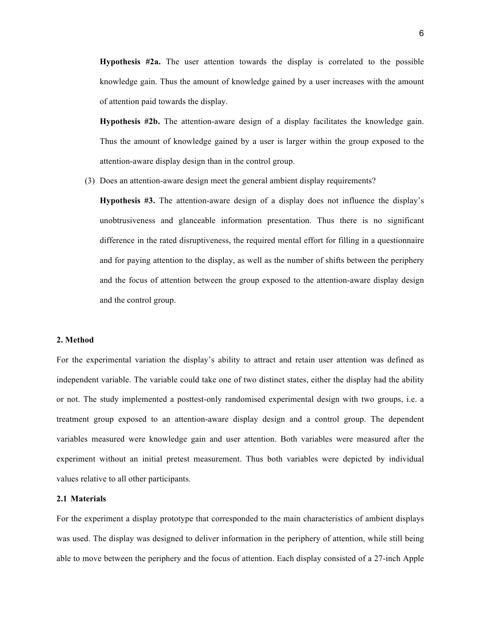**Hypothesis #2a.** The user attention towards the display is correlated to the possible knowledge gain. Thus the amount of knowledge gained by a user increases with the amount of attention paid towards the display.

**Hypothesis #2b.** The attention-aware design of a display facilitates the knowledge gain. Thus the amount of knowledge gained by a user is larger within the group exposed to the attention-aware display design than in the control group.

(3) Does an attention-aware design meet the general ambient display requirements?

**Hypothesis #3.** The attention-aware design of a display does not influence the display's unobtrusiveness and glanceable information presentation. Thus there is no significant difference in the rated disruptiveness, the required mental effort for filling in a questionnaire and for paying attention to the display, as well as the number of shifts between the periphery and the focus of attention between the group exposed to the attention-aware display design and the control group.

#### **2. Method**

For the experimental variation the display's ability to attract and retain user attention was defined as independent variable. The variable could take one of two distinct states, either the display had the ability or not. The study implemented a posttest-only randomised experimental design with two groups, i.e. a treatment group exposed to an attention-aware display design and a control group. The dependent variables measured were knowledge gain and user attention. Both variables were measured after the experiment without an initial pretest measurement. Thus both variables were depicted by individual values relative to all other participants.

### **2.1 Materials**

For the experiment a display prototype that corresponded to the main characteristics of ambient displays was used. The display was designed to deliver information in the periphery of attention, while still being able to move between the periphery and the focus of attention. Each display consisted of a 27-inch Apple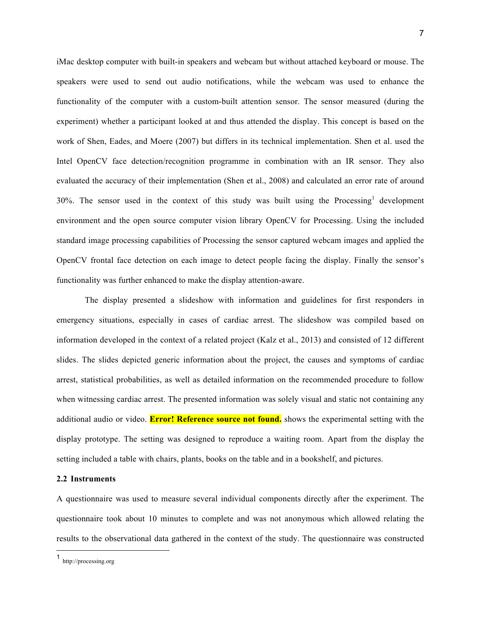iMac desktop computer with built-in speakers and webcam but without attached keyboard or mouse. The speakers were used to send out audio notifications, while the webcam was used to enhance the functionality of the computer with a custom-built attention sensor. The sensor measured (during the experiment) whether a participant looked at and thus attended the display. This concept is based on the work of Shen, Eades, and Moere (2007) but differs in its technical implementation. Shen et al. used the Intel OpenCV face detection/recognition programme in combination with an IR sensor. They also evaluated the accuracy of their implementation (Shen et al., 2008) and calculated an error rate of around  $30\%$ . The sensor used in the context of this study was built using the Processing<sup>1</sup> development environment and the open source computer vision library OpenCV for Processing. Using the included standard image processing capabilities of Processing the sensor captured webcam images and applied the OpenCV frontal face detection on each image to detect people facing the display. Finally the sensor's functionality was further enhanced to make the display attention-aware.

The display presented a slideshow with information and guidelines for first responders in emergency situations, especially in cases of cardiac arrest. The slideshow was compiled based on information developed in the context of a related project (Kalz et al., 2013) and consisted of 12 different slides. The slides depicted generic information about the project, the causes and symptoms of cardiac arrest, statistical probabilities, as well as detailed information on the recommended procedure to follow when witnessing cardiac arrest. The presented information was solely visual and static not containing any additional audio or video. **Error! Reference source not found.** shows the experimental setting with the display prototype. The setting was designed to reproduce a waiting room. Apart from the display the setting included a table with chairs, plants, books on the table and in a bookshelf, and pictures.

#### **2.2 Instruments**

A questionnaire was used to measure several individual components directly after the experiment. The questionnaire took about 10 minutes to complete and was not anonymous which allowed relating the results to the observational data gathered in the context of the study. The questionnaire was constructed

 <sup>1</sup> http://processing.org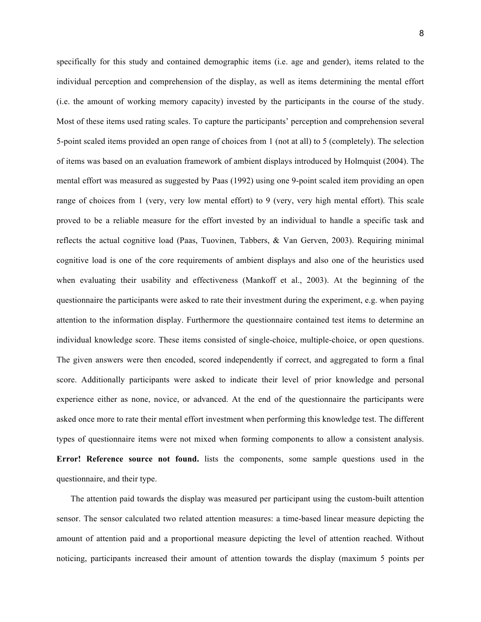specifically for this study and contained demographic items (i.e. age and gender), items related to the individual perception and comprehension of the display, as well as items determining the mental effort (i.e. the amount of working memory capacity) invested by the participants in the course of the study. Most of these items used rating scales. To capture the participants' perception and comprehension several 5-point scaled items provided an open range of choices from 1 (not at all) to 5 (completely). The selection of items was based on an evaluation framework of ambient displays introduced by Holmquist (2004). The mental effort was measured as suggested by Paas (1992) using one 9-point scaled item providing an open range of choices from 1 (very, very low mental effort) to 9 (very, very high mental effort). This scale proved to be a reliable measure for the effort invested by an individual to handle a specific task and reflects the actual cognitive load (Paas, Tuovinen, Tabbers, & Van Gerven, 2003). Requiring minimal cognitive load is one of the core requirements of ambient displays and also one of the heuristics used when evaluating their usability and effectiveness (Mankoff et al., 2003). At the beginning of the questionnaire the participants were asked to rate their investment during the experiment, e.g. when paying attention to the information display. Furthermore the questionnaire contained test items to determine an individual knowledge score. These items consisted of single-choice, multiple-choice, or open questions. The given answers were then encoded, scored independently if correct, and aggregated to form a final score. Additionally participants were asked to indicate their level of prior knowledge and personal experience either as none, novice, or advanced. At the end of the questionnaire the participants were asked once more to rate their mental effort investment when performing this knowledge test. The different types of questionnaire items were not mixed when forming components to allow a consistent analysis. **Error! Reference source not found.** lists the components, some sample questions used in the questionnaire, and their type.

The attention paid towards the display was measured per participant using the custom-built attention sensor. The sensor calculated two related attention measures: a time-based linear measure depicting the amount of attention paid and a proportional measure depicting the level of attention reached. Without noticing, participants increased their amount of attention towards the display (maximum 5 points per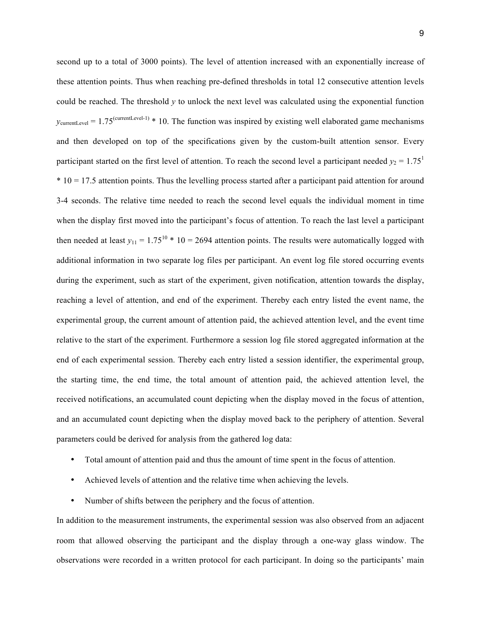second up to a total of 3000 points). The level of attention increased with an exponentially increase of these attention points. Thus when reaching pre-defined thresholds in total 12 consecutive attention levels could be reached. The threshold *y* to unlock the next level was calculated using the exponential function  $y_{\text{currentLevel}} = 1.75^{\text{(currentLevel-1)}} * 10$ . The function was inspired by existing well elaborated game mechanisms and then developed on top of the specifications given by the custom-built attention sensor. Every participant started on the first level of attention. To reach the second level a participant needed  $y_2 = 1.75$ <sup>1</sup> \* 10 = 17.5 attention points. Thus the levelling process started after a participant paid attention for around 3-4 seconds. The relative time needed to reach the second level equals the individual moment in time when the display first moved into the participant's focus of attention. To reach the last level a participant then needed at least  $y_{11} = 1.75^{10} * 10 = 2694$  attention points. The results were automatically logged with additional information in two separate log files per participant. An event log file stored occurring events during the experiment, such as start of the experiment, given notification, attention towards the display, reaching a level of attention, and end of the experiment. Thereby each entry listed the event name, the experimental group, the current amount of attention paid, the achieved attention level, and the event time relative to the start of the experiment. Furthermore a session log file stored aggregated information at the end of each experimental session. Thereby each entry listed a session identifier, the experimental group, the starting time, the end time, the total amount of attention paid, the achieved attention level, the received notifications, an accumulated count depicting when the display moved in the focus of attention, and an accumulated count depicting when the display moved back to the periphery of attention. Several parameters could be derived for analysis from the gathered log data:

- Total amount of attention paid and thus the amount of time spent in the focus of attention.
- Achieved levels of attention and the relative time when achieving the levels.
- Number of shifts between the periphery and the focus of attention.

In addition to the measurement instruments, the experimental session was also observed from an adjacent room that allowed observing the participant and the display through a one-way glass window. The observations were recorded in a written protocol for each participant. In doing so the participants' main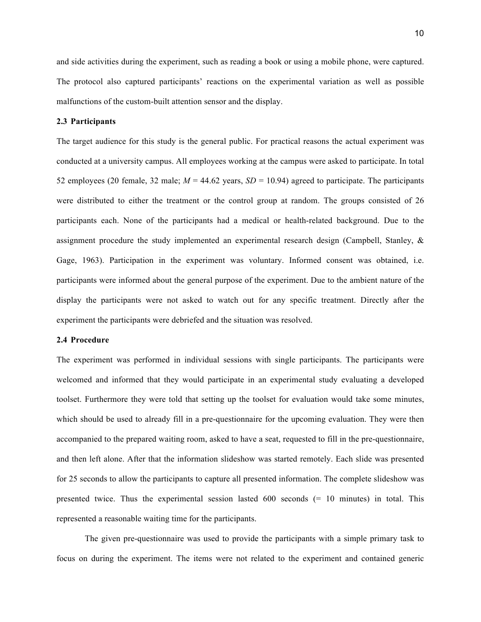and side activities during the experiment, such as reading a book or using a mobile phone, were captured. The protocol also captured participants' reactions on the experimental variation as well as possible malfunctions of the custom-built attention sensor and the display.

## **2.3 Participants**

The target audience for this study is the general public. For practical reasons the actual experiment was conducted at a university campus. All employees working at the campus were asked to participate. In total 52 employees (20 female, 32 male;  $M = 44.62$  years,  $SD = 10.94$ ) agreed to participate. The participants were distributed to either the treatment or the control group at random. The groups consisted of 26 participants each. None of the participants had a medical or health-related background. Due to the assignment procedure the study implemented an experimental research design (Campbell, Stanley, & Gage, 1963). Participation in the experiment was voluntary. Informed consent was obtained, i.e. participants were informed about the general purpose of the experiment. Due to the ambient nature of the display the participants were not asked to watch out for any specific treatment. Directly after the experiment the participants were debriefed and the situation was resolved.

#### **2.4 Procedure**

The experiment was performed in individual sessions with single participants. The participants were welcomed and informed that they would participate in an experimental study evaluating a developed toolset. Furthermore they were told that setting up the toolset for evaluation would take some minutes, which should be used to already fill in a pre-questionnaire for the upcoming evaluation. They were then accompanied to the prepared waiting room, asked to have a seat, requested to fill in the pre-questionnaire, and then left alone. After that the information slideshow was started remotely. Each slide was presented for 25 seconds to allow the participants to capture all presented information. The complete slideshow was presented twice. Thus the experimental session lasted 600 seconds (= 10 minutes) in total. This represented a reasonable waiting time for the participants.

The given pre-questionnaire was used to provide the participants with a simple primary task to focus on during the experiment. The items were not related to the experiment and contained generic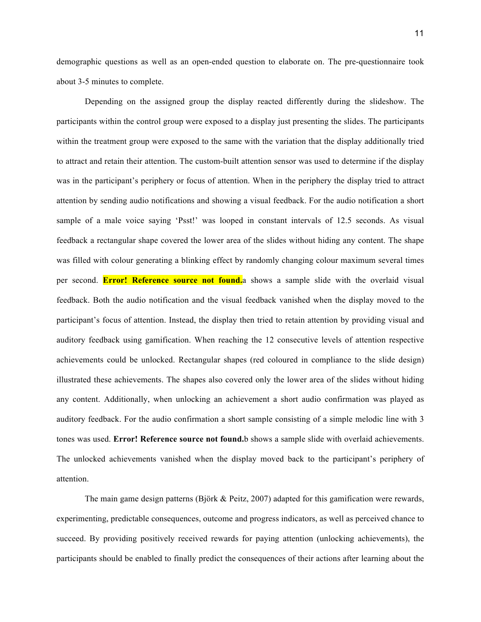demographic questions as well as an open-ended question to elaborate on. The pre-questionnaire took about 3-5 minutes to complete.

Depending on the assigned group the display reacted differently during the slideshow. The participants within the control group were exposed to a display just presenting the slides. The participants within the treatment group were exposed to the same with the variation that the display additionally tried to attract and retain their attention. The custom-built attention sensor was used to determine if the display was in the participant's periphery or focus of attention. When in the periphery the display tried to attract attention by sending audio notifications and showing a visual feedback. For the audio notification a short sample of a male voice saying 'Psst!' was looped in constant intervals of 12.5 seconds. As visual feedback a rectangular shape covered the lower area of the slides without hiding any content. The shape was filled with colour generating a blinking effect by randomly changing colour maximum several times per second. **Error! Reference source not found.**a shows a sample slide with the overlaid visual feedback. Both the audio notification and the visual feedback vanished when the display moved to the participant's focus of attention. Instead, the display then tried to retain attention by providing visual and auditory feedback using gamification. When reaching the 12 consecutive levels of attention respective achievements could be unlocked. Rectangular shapes (red coloured in compliance to the slide design) illustrated these achievements. The shapes also covered only the lower area of the slides without hiding any content. Additionally, when unlocking an achievement a short audio confirmation was played as auditory feedback. For the audio confirmation a short sample consisting of a simple melodic line with 3 tones was used. **Error! Reference source not found.**b shows a sample slide with overlaid achievements. The unlocked achievements vanished when the display moved back to the participant's periphery of attention.

The main game design patterns (Björk & Peitz, 2007) adapted for this gamification were rewards, experimenting, predictable consequences, outcome and progress indicators, as well as perceived chance to succeed. By providing positively received rewards for paying attention (unlocking achievements), the participants should be enabled to finally predict the consequences of their actions after learning about the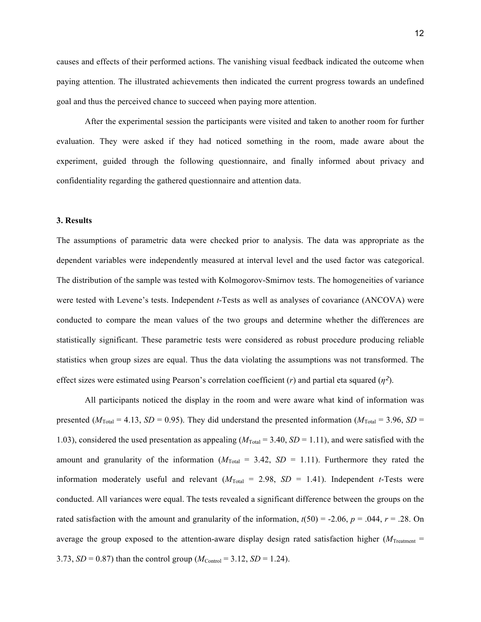causes and effects of their performed actions. The vanishing visual feedback indicated the outcome when paying attention. The illustrated achievements then indicated the current progress towards an undefined goal and thus the perceived chance to succeed when paying more attention.

After the experimental session the participants were visited and taken to another room for further evaluation. They were asked if they had noticed something in the room, made aware about the experiment, guided through the following questionnaire, and finally informed about privacy and confidentiality regarding the gathered questionnaire and attention data.

## **3. Results**

The assumptions of parametric data were checked prior to analysis. The data was appropriate as the dependent variables were independently measured at interval level and the used factor was categorical. The distribution of the sample was tested with Kolmogorov-Smirnov tests. The homogeneities of variance were tested with Levene's tests. Independent *t*-Tests as well as analyses of covariance (ANCOVA) were conducted to compare the mean values of the two groups and determine whether the differences are statistically significant. These parametric tests were considered as robust procedure producing reliable statistics when group sizes are equal. Thus the data violating the assumptions was not transformed. The effect sizes were estimated using Pearson's correlation coefficient (*r*) and partial eta squared (*η*2).

All participants noticed the display in the room and were aware what kind of information was presented ( $M_{\text{Total}} = 4.13$ , *SD* = 0.95). They did understand the presented information ( $M_{\text{Total}} = 3.96$ , *SD* = 1.03), considered the used presentation as appealing  $(M<sub>Total</sub> = 3.40, SD = 1.11)$ , and were satisfied with the amount and granularity of the information  $(M_{\text{Total}} = 3.42, SD = 1.11)$ . Furthermore they rated the information moderately useful and relevant  $(M_{\text{Total}} = 2.98, SD = 1.41)$ . Independent *t*-Tests were conducted. All variances were equal. The tests revealed a significant difference between the groups on the rated satisfaction with the amount and granularity of the information,  $t(50) = -2.06$ ,  $p = .044$ ,  $r = .28$ . On average the group exposed to the attention-aware display design rated satisfaction higher ( $M_{\text{Treatment}}$  = 3.73, *SD* = 0.87) than the control group ( $M_{\text{Control}}$  = 3.12, *SD* = 1.24).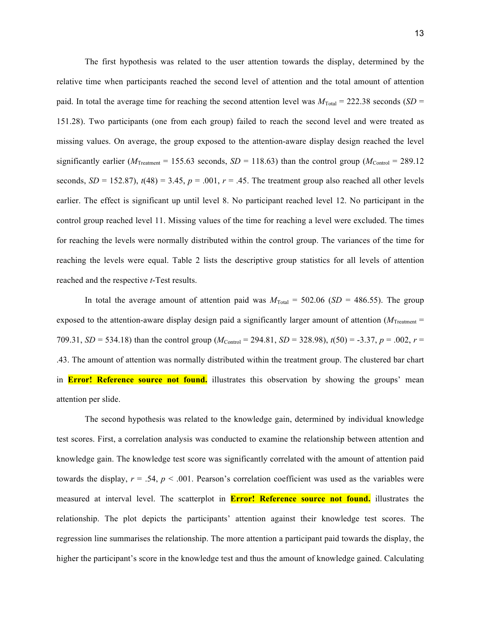The first hypothesis was related to the user attention towards the display, determined by the relative time when participants reached the second level of attention and the total amount of attention paid. In total the average time for reaching the second attention level was  $M_{\text{Total}} = 222.38$  seconds (*SD* = 151.28). Two participants (one from each group) failed to reach the second level and were treated as missing values. On average, the group exposed to the attention-aware display design reached the level significantly earlier ( $M_{\text{Treatment}}$  = 155.63 seconds, *SD* = 118.63) than the control group ( $M_{\text{Control}}$  = 289.12 seconds,  $SD = 152.87$ ),  $t(48) = 3.45$ ,  $p = .001$ ,  $r = .45$ . The treatment group also reached all other levels earlier. The effect is significant up until level 8. No participant reached level 12. No participant in the control group reached level 11. Missing values of the time for reaching a level were excluded. The times for reaching the levels were normally distributed within the control group. The variances of the time for reaching the levels were equal. Table 2 lists the descriptive group statistics for all levels of attention reached and the respective *t*-Test results.

In total the average amount of attention paid was  $M_{\text{Total}} = 502.06$  (*SD* = 486.55). The group exposed to the attention-aware display design paid a significantly larger amount of attention  $(M<sub>Treatment</sub> =$ 709.31, *SD* = 534.18) than the control group ( $M_{\text{Control}}$  = 294.81, *SD* = 328.98),  $t(50)$  = -3.37,  $p = .002$ ,  $r =$ .43. The amount of attention was normally distributed within the treatment group. The clustered bar chart in **Error! Reference source not found.** illustrates this observation by showing the groups' mean attention per slide.

The second hypothesis was related to the knowledge gain, determined by individual knowledge test scores. First, a correlation analysis was conducted to examine the relationship between attention and knowledge gain. The knowledge test score was significantly correlated with the amount of attention paid towards the display,  $r = .54$ ,  $p < .001$ . Pearson's correlation coefficient was used as the variables were measured at interval level. The scatterplot in **Error! Reference source not found.** illustrates the relationship. The plot depicts the participants' attention against their knowledge test scores. The regression line summarises the relationship. The more attention a participant paid towards the display, the higher the participant's score in the knowledge test and thus the amount of knowledge gained. Calculating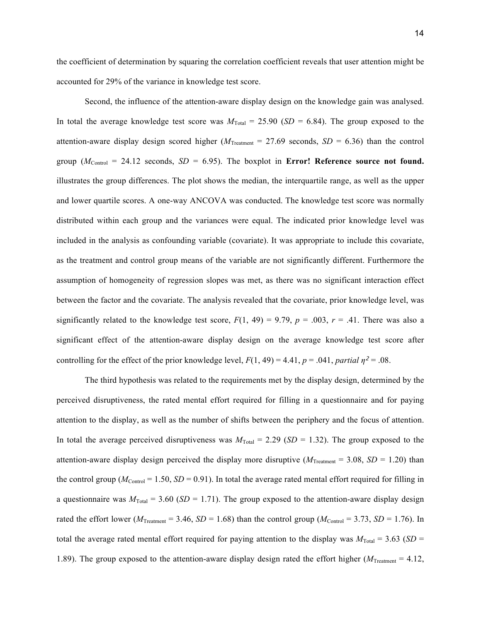the coefficient of determination by squaring the correlation coefficient reveals that user attention might be accounted for 29% of the variance in knowledge test score.

Second, the influence of the attention-aware display design on the knowledge gain was analysed. In total the average knowledge test score was  $M_{\text{Total}} = 25.90$  (*SD* = 6.84). The group exposed to the attention-aware display design scored higher ( $M_{\text{Teatement}} = 27.69$  seconds,  $SD = 6.36$ ) than the control group  $(M_{\text{Control}} = 24.12$  seconds,  $SD = 6.95$ ). The boxplot in **Error! Reference source not found.** illustrates the group differences. The plot shows the median, the interquartile range, as well as the upper and lower quartile scores. A one-way ANCOVA was conducted. The knowledge test score was normally distributed within each group and the variances were equal. The indicated prior knowledge level was included in the analysis as confounding variable (covariate). It was appropriate to include this covariate, as the treatment and control group means of the variable are not significantly different. Furthermore the assumption of homogeneity of regression slopes was met, as there was no significant interaction effect between the factor and the covariate. The analysis revealed that the covariate, prior knowledge level, was significantly related to the knowledge test score,  $F(1, 49) = 9.79$ ,  $p = .003$ ,  $r = .41$ . There was also a significant effect of the attention-aware display design on the average knowledge test score after controlling for the effect of the prior knowledge level,  $F(1, 49) = 4.41$ ,  $p = .041$ , *partial*  $n^2 = .08$ .

The third hypothesis was related to the requirements met by the display design, determined by the perceived disruptiveness, the rated mental effort required for filling in a questionnaire and for paying attention to the display, as well as the number of shifts between the periphery and the focus of attention. In total the average perceived disruptiveness was  $M_{\text{Total}} = 2.29$  (*SD* = 1.32). The group exposed to the attention-aware display design perceived the display more disruptive  $(M_{\text{Treatment}} = 3.08, SD = 1.20)$  than the control group ( $M_{\text{Control}} = 1.50$ ,  $SD = 0.91$ ). In total the average rated mental effort required for filling in a questionnaire was  $M_{\text{Total}} = 3.60$  (*SD* = 1.71). The group exposed to the attention-aware display design rated the effort lower ( $M_{\text{Treatment}} = 3.46$ ,  $SD = 1.68$ ) than the control group ( $M_{\text{Control}} = 3.73$ ,  $SD = 1.76$ ). In total the average rated mental effort required for paying attention to the display was  $M_{\text{Total}} = 3.63$  (*SD* = 1.89). The group exposed to the attention-aware display design rated the effort higher ( $M_{\text{Treatment}} = 4.12$ ,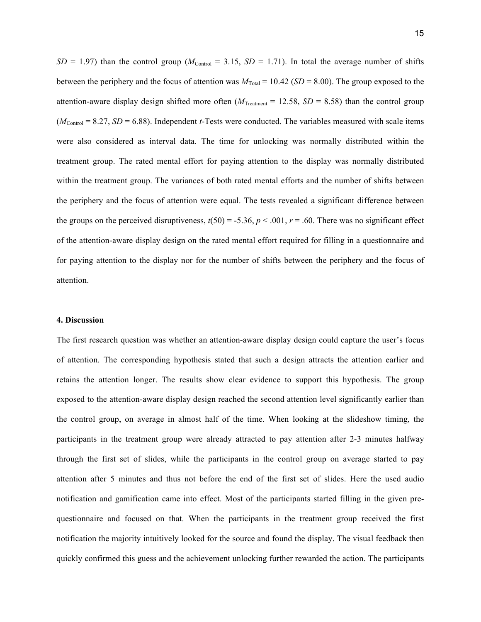$SD = 1.97$ ) than the control group ( $M_{Control} = 3.15$ ,  $SD = 1.71$ ). In total the average number of shifts between the periphery and the focus of attention was  $M_{\text{Total}} = 10.42$  (*SD* = 8.00). The group exposed to the attention-aware display design shifted more often  $(M_{\text{Treatment}} = 12.58, SD = 8.58)$  than the control group  $(M_{\text{Control}} = 8.27, SD = 6.88)$ . Independent *t*-Tests were conducted. The variables measured with scale items were also considered as interval data. The time for unlocking was normally distributed within the treatment group. The rated mental effort for paying attention to the display was normally distributed within the treatment group. The variances of both rated mental efforts and the number of shifts between the periphery and the focus of attention were equal. The tests revealed a significant difference between the groups on the perceived disruptiveness,  $t(50) = -5.36$ ,  $p < .001$ ,  $r = .60$ . There was no significant effect of the attention-aware display design on the rated mental effort required for filling in a questionnaire and for paying attention to the display nor for the number of shifts between the periphery and the focus of attention.

## **4. Discussion**

The first research question was whether an attention-aware display design could capture the user's focus of attention. The corresponding hypothesis stated that such a design attracts the attention earlier and retains the attention longer. The results show clear evidence to support this hypothesis. The group exposed to the attention-aware display design reached the second attention level significantly earlier than the control group, on average in almost half of the time. When looking at the slideshow timing, the participants in the treatment group were already attracted to pay attention after 2-3 minutes halfway through the first set of slides, while the participants in the control group on average started to pay attention after 5 minutes and thus not before the end of the first set of slides. Here the used audio notification and gamification came into effect. Most of the participants started filling in the given prequestionnaire and focused on that. When the participants in the treatment group received the first notification the majority intuitively looked for the source and found the display. The visual feedback then quickly confirmed this guess and the achievement unlocking further rewarded the action. The participants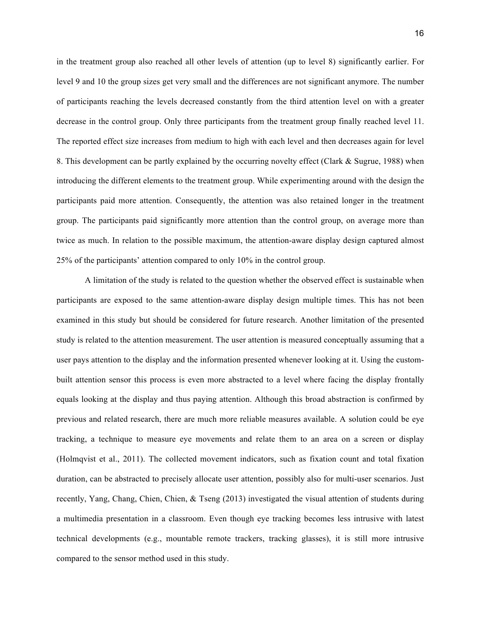in the treatment group also reached all other levels of attention (up to level 8) significantly earlier. For level 9 and 10 the group sizes get very small and the differences are not significant anymore. The number of participants reaching the levels decreased constantly from the third attention level on with a greater decrease in the control group. Only three participants from the treatment group finally reached level 11. The reported effect size increases from medium to high with each level and then decreases again for level 8. This development can be partly explained by the occurring novelty effect (Clark & Sugrue, 1988) when introducing the different elements to the treatment group. While experimenting around with the design the participants paid more attention. Consequently, the attention was also retained longer in the treatment group. The participants paid significantly more attention than the control group, on average more than twice as much. In relation to the possible maximum, the attention-aware display design captured almost 25% of the participants' attention compared to only 10% in the control group.

A limitation of the study is related to the question whether the observed effect is sustainable when participants are exposed to the same attention-aware display design multiple times. This has not been examined in this study but should be considered for future research. Another limitation of the presented study is related to the attention measurement. The user attention is measured conceptually assuming that a user pays attention to the display and the information presented whenever looking at it. Using the custombuilt attention sensor this process is even more abstracted to a level where facing the display frontally equals looking at the display and thus paying attention. Although this broad abstraction is confirmed by previous and related research, there are much more reliable measures available. A solution could be eye tracking, a technique to measure eye movements and relate them to an area on a screen or display (Holmqvist et al., 2011). The collected movement indicators, such as fixation count and total fixation duration, can be abstracted to precisely allocate user attention, possibly also for multi-user scenarios. Just recently, Yang, Chang, Chien, Chien, & Tseng (2013) investigated the visual attention of students during a multimedia presentation in a classroom. Even though eye tracking becomes less intrusive with latest technical developments (e.g., mountable remote trackers, tracking glasses), it is still more intrusive compared to the sensor method used in this study.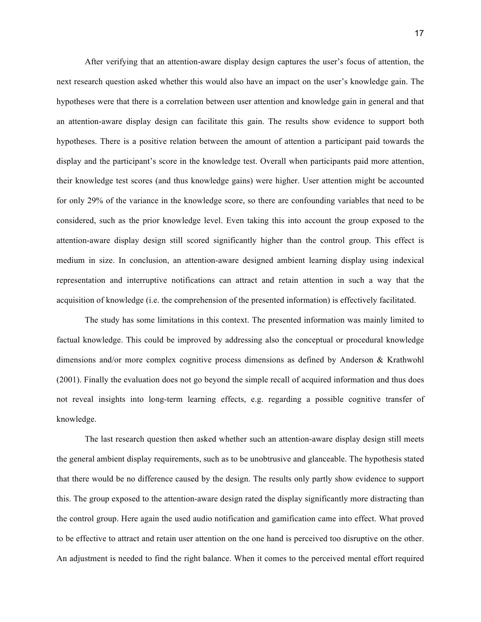After verifying that an attention-aware display design captures the user's focus of attention, the next research question asked whether this would also have an impact on the user's knowledge gain. The hypotheses were that there is a correlation between user attention and knowledge gain in general and that an attention-aware display design can facilitate this gain. The results show evidence to support both hypotheses. There is a positive relation between the amount of attention a participant paid towards the display and the participant's score in the knowledge test. Overall when participants paid more attention, their knowledge test scores (and thus knowledge gains) were higher. User attention might be accounted for only 29% of the variance in the knowledge score, so there are confounding variables that need to be considered, such as the prior knowledge level. Even taking this into account the group exposed to the attention-aware display design still scored significantly higher than the control group. This effect is medium in size. In conclusion, an attention-aware designed ambient learning display using indexical representation and interruptive notifications can attract and retain attention in such a way that the acquisition of knowledge (i.e. the comprehension of the presented information) is effectively facilitated.

The study has some limitations in this context. The presented information was mainly limited to factual knowledge. This could be improved by addressing also the conceptual or procedural knowledge dimensions and/or more complex cognitive process dimensions as defined by Anderson & Krathwohl (2001). Finally the evaluation does not go beyond the simple recall of acquired information and thus does not reveal insights into long-term learning effects, e.g. regarding a possible cognitive transfer of knowledge.

The last research question then asked whether such an attention-aware display design still meets the general ambient display requirements, such as to be unobtrusive and glanceable. The hypothesis stated that there would be no difference caused by the design. The results only partly show evidence to support this. The group exposed to the attention-aware design rated the display significantly more distracting than the control group. Here again the used audio notification and gamification came into effect. What proved to be effective to attract and retain user attention on the one hand is perceived too disruptive on the other. An adjustment is needed to find the right balance. When it comes to the perceived mental effort required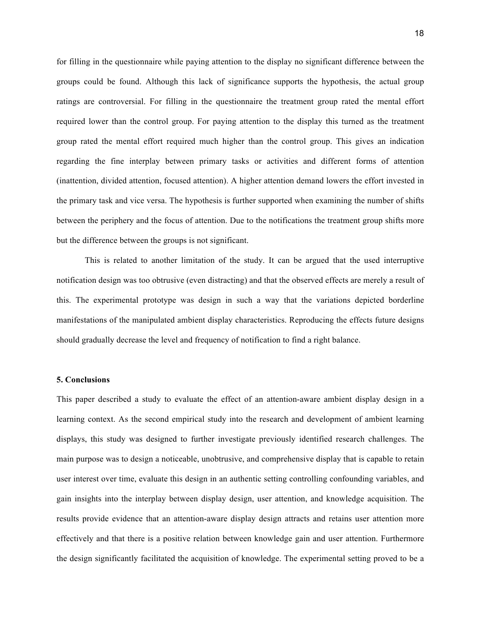for filling in the questionnaire while paying attention to the display no significant difference between the groups could be found. Although this lack of significance supports the hypothesis, the actual group ratings are controversial. For filling in the questionnaire the treatment group rated the mental effort required lower than the control group. For paying attention to the display this turned as the treatment group rated the mental effort required much higher than the control group. This gives an indication regarding the fine interplay between primary tasks or activities and different forms of attention (inattention, divided attention, focused attention). A higher attention demand lowers the effort invested in the primary task and vice versa. The hypothesis is further supported when examining the number of shifts between the periphery and the focus of attention. Due to the notifications the treatment group shifts more but the difference between the groups is not significant.

This is related to another limitation of the study. It can be argued that the used interruptive notification design was too obtrusive (even distracting) and that the observed effects are merely a result of this. The experimental prototype was design in such a way that the variations depicted borderline manifestations of the manipulated ambient display characteristics. Reproducing the effects future designs should gradually decrease the level and frequency of notification to find a right balance.

#### **5. Conclusions**

This paper described a study to evaluate the effect of an attention-aware ambient display design in a learning context. As the second empirical study into the research and development of ambient learning displays, this study was designed to further investigate previously identified research challenges. The main purpose was to design a noticeable, unobtrusive, and comprehensive display that is capable to retain user interest over time, evaluate this design in an authentic setting controlling confounding variables, and gain insights into the interplay between display design, user attention, and knowledge acquisition. The results provide evidence that an attention-aware display design attracts and retains user attention more effectively and that there is a positive relation between knowledge gain and user attention. Furthermore the design significantly facilitated the acquisition of knowledge. The experimental setting proved to be a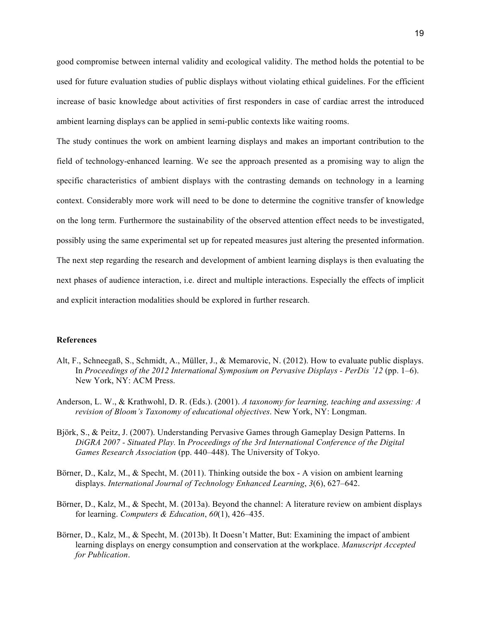good compromise between internal validity and ecological validity. The method holds the potential to be used for future evaluation studies of public displays without violating ethical guidelines. For the efficient increase of basic knowledge about activities of first responders in case of cardiac arrest the introduced ambient learning displays can be applied in semi-public contexts like waiting rooms.

The study continues the work on ambient learning displays and makes an important contribution to the field of technology-enhanced learning. We see the approach presented as a promising way to align the specific characteristics of ambient displays with the contrasting demands on technology in a learning context. Considerably more work will need to be done to determine the cognitive transfer of knowledge on the long term. Furthermore the sustainability of the observed attention effect needs to be investigated, possibly using the same experimental set up for repeated measures just altering the presented information. The next step regarding the research and development of ambient learning displays is then evaluating the next phases of audience interaction, i.e. direct and multiple interactions. Especially the effects of implicit and explicit interaction modalities should be explored in further research.

#### **References**

- Alt, F., Schneegaß, S., Schmidt, A., Müller, J., & Memarovic, N. (2012). How to evaluate public displays. In *Proceedings of the 2012 International Symposium on Pervasive Displays - PerDis '12* (pp. 1–6). New York, NY: ACM Press.
- Anderson, L. W., & Krathwohl, D. R. (Eds.). (2001). *A taxonomy for learning, teaching and assessing: A revision of Bloom's Taxonomy of educational objectives*. New York, NY: Longman.
- Björk, S., & Peitz, J. (2007). Understanding Pervasive Games through Gameplay Design Patterns. In *DiGRA 2007 - Situated Play.* In *Proceedings of the 3rd International Conference of the Digital Games Research Association* (pp. 440–448). The University of Tokyo.
- Börner, D., Kalz, M., & Specht, M. (2011). Thinking outside the box A vision on ambient learning displays. *International Journal of Technology Enhanced Learning*, *3*(6), 627–642.
- Börner, D., Kalz, M., & Specht, M. (2013a). Beyond the channel: A literature review on ambient displays for learning. *Computers & Education*, *60*(1), 426–435.
- Börner, D., Kalz, M., & Specht, M. (2013b). It Doesn't Matter, But: Examining the impact of ambient learning displays on energy consumption and conservation at the workplace. *Manuscript Accepted for Publication*.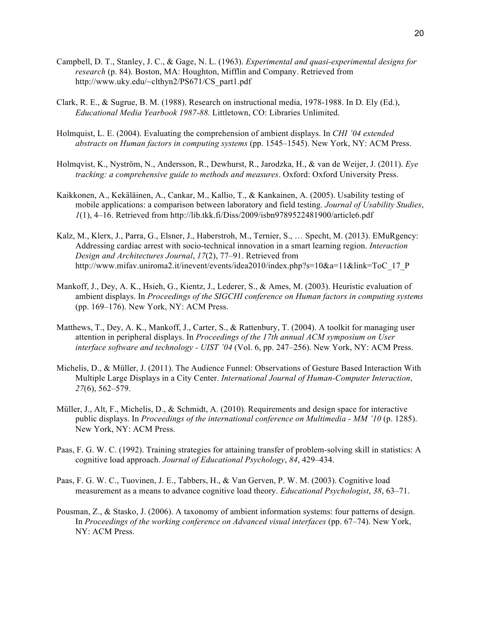- Campbell, D. T., Stanley, J. C., & Gage, N. L. (1963). *Experimental and quasi-experimental designs for research* (p. 84). Boston, MA: Houghton, Mifflin and Company. Retrieved from http://www.uky.edu/~clthyn2/PS671/CS\_part1.pdf
- Clark, R. E., & Sugrue, B. M. (1988). Research on instructional media, 1978-1988. In D. Ely (Ed.), *Educational Media Yearbook 1987-88.* Littletown, CO: Libraries Unlimited.
- Holmquist, L. E. (2004). Evaluating the comprehension of ambient displays. In *CHI '04 extended abstracts on Human factors in computing systems* (pp. 1545–1545). New York, NY: ACM Press.
- Holmqvist, K., Nyström, N., Andersson, R., Dewhurst, R., Jarodzka, H., & van de Weijer, J. (2011). *Eye tracking: a comprehensive guide to methods and measures*. Oxford: Oxford University Press.
- Kaikkonen, A., Kekäläinen, A., Cankar, M., Kallio, T., & Kankainen, A. (2005). Usability testing of mobile applications: a comparison between laboratory and field testing. *Journal of Usability Studies*, *1*(1), 4–16. Retrieved from http://lib.tkk.fi/Diss/2009/isbn9789522481900/article6.pdf
- Kalz, M., Klerx, J., Parra, G., Elsner, J., Haberstroh, M., Ternier, S., … Specht, M. (2013). EMuRgency: Addressing cardiac arrest with socio-technical innovation in a smart learning region. *Interaction Design and Architectures Journal*, *17*(2), 77–91. Retrieved from http://www.mifav.uniroma2.it/inevent/events/idea2010/index.php?s=10&a=11&link=ToC\_17\_P
- Mankoff, J., Dey, A. K., Hsieh, G., Kientz, J., Lederer, S., & Ames, M. (2003). Heuristic evaluation of ambient displays. In *Proceedings of the SIGCHI conference on Human factors in computing systems* (pp. 169–176). New York, NY: ACM Press.
- Matthews, T., Dey, A. K., Mankoff, J., Carter, S., & Rattenbury, T. (2004). A toolkit for managing user attention in peripheral displays. In *Proceedings of the 17th annual ACM symposium on User interface software and technology - UIST '04* (Vol. 6, pp. 247–256). New York, NY: ACM Press.
- Michelis, D., & Müller, J. (2011). The Audience Funnel: Observations of Gesture Based Interaction With Multiple Large Displays in a City Center. *International Journal of Human-Computer Interaction*, *27*(6), 562–579.
- Müller, J., Alt, F., Michelis, D., & Schmidt, A. (2010). Requirements and design space for interactive public displays. In *Proceedings of the international conference on Multimedia - MM '10* (p. 1285). New York, NY: ACM Press.
- Paas, F. G. W. C. (1992). Training strategies for attaining transfer of problem-solving skill in statistics: A cognitive load approach. *Journal of Educational Psychology*, *84*, 429–434.
- Paas, F. G. W. C., Tuovinen, J. E., Tabbers, H., & Van Gerven, P. W. M. (2003). Cognitive load measurement as a means to advance cognitive load theory. *Educational Psychologist*, *38*, 63–71.
- Pousman, Z., & Stasko, J. (2006). A taxonomy of ambient information systems: four patterns of design. In *Proceedings of the working conference on Advanced visual interfaces* (pp. 67–74). New York, NY: ACM Press.